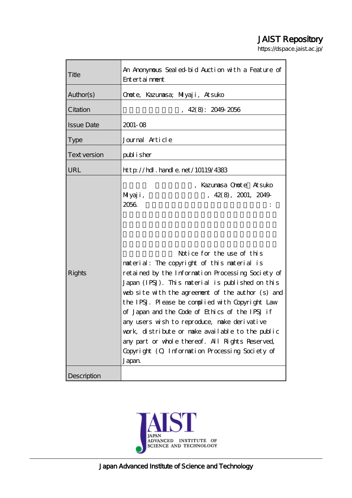# JAIST Repository

https://dspace.jaist.ac.jp/

| Title               | An Anonymous Sealed-bid Auction with a Feature of<br>Entertainment                                                                                                                                                                                                                                                                                                                                                                                                                                                                                                                                                                  |
|---------------------|-------------------------------------------------------------------------------------------------------------------------------------------------------------------------------------------------------------------------------------------------------------------------------------------------------------------------------------------------------------------------------------------------------------------------------------------------------------------------------------------------------------------------------------------------------------------------------------------------------------------------------------|
| Author(s)           | Onote, Kazunasa; Miyaji, Atsuko                                                                                                                                                                                                                                                                                                                                                                                                                                                                                                                                                                                                     |
| Citation            | 42(8): 2049 2056                                                                                                                                                                                                                                                                                                                                                                                                                                                                                                                                                                                                                    |
| <b>Issue Date</b>   | $2001 - 08$                                                                                                                                                                                                                                                                                                                                                                                                                                                                                                                                                                                                                         |
| <b>Type</b>         | Journal Article                                                                                                                                                                                                                                                                                                                                                                                                                                                                                                                                                                                                                     |
| <b>Text version</b> | publisher                                                                                                                                                                                                                                                                                                                                                                                                                                                                                                                                                                                                                           |
| URL                 | http://hdl.handle.net/10119/4383                                                                                                                                                                                                                                                                                                                                                                                                                                                                                                                                                                                                    |
| <b>Rights</b>       | , Kazumasa Onote Atsuko<br>Miyaji,<br>, 42(8), 2001, 2049<br>2056<br>Notice for the use of this<br>material: The copyright of this material is<br>retained by the Information Processing Society of<br>Japan (IPSJ). This material is published on this<br>web site with the agreement of the author (s) and<br>the IPSJ. Please be complied with Copyright Law<br>of Japan and the Code of Ethics of the IPSJ if<br>any users wish to reproduce, make derivative<br>work, distribute or make available to the public<br>any part or whole thereof. All Rights Reserved,<br>Copyright (O Information Processing Society of<br>Japan |
| Description         |                                                                                                                                                                                                                                                                                                                                                                                                                                                                                                                                                                                                                                     |

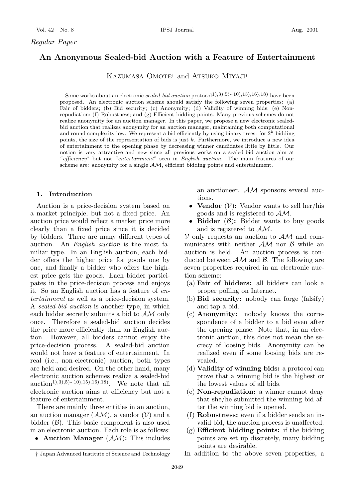# **An Anonymous Sealed-bid Auction with a Feature of Entertainment**

KAZUMASA OMOTE<sup>†</sup> and ATSUKO MIYAJI<sup>†</sup>

Some works about an electronic *sealed-bid auction* protocol<sup>1</sup>),3),5)∼10),15),16),18) have been proposed. An electronic auction scheme should satisfy the following seven properties: (a) Fair of bidders; (b) Bid security; (c) Anonymity; (d) Validity of winning bids; (e) Nonrepudiation; (f) Robustness; and (g) Efficient bidding points. Many previous schemes do not realize anonymity for an auction manager. In this paper, we propose a new electronic sealedbid auction that realizes anonymity for an auction manager, maintaining both computational and round complexity low. We represent a bid efficiently by using binary trees: for  $2^k$  bidding points, the size of the representation of bids is just *k*. Furthermore, we introduce a new idea of entertainment to the opening phase by decreasing winner candidates little by little. Our notion is very attractive and new since all previous works on a sealed-bid auction aim at "efficiency" but not "entertainment" seen in English auction. The main features of our scheme are: anonymity for a single *AM*, efficient bidding points and entertainment.

#### **1. Introduction**

Auction is a price-decision system based on a market principle, but not a fixed price. An auction price would reflect a market price more clearly than a fixed price since it is decided by bidders. There are many different types of auction. An *English auction* is the most familiar type. In an English auction, each bidder offers the higher price for goods one by one, and finally a bidder who offers the highest price gets the goods. Each bidder participates in the price-decision process and enjoys it. So an English auction has a feature of *entertainment* as well as a price-decision system. A *sealed-bid auction* is another type, in which each bidder secretly submits a bid to AM only once. Therefore a sealed-bid auction decides the price more efficiently than an English auction. However, all bidders cannot enjoy the price-decision process. A sealed-bid auction would not have a feature of entertainment. In real (i.e., non-electronic) auction, both types are held and desired. On the other hand, many electronic auction schemes realize a sealed-bid auction<sup>1</sup>),3),5)∼10),15),16),18). We note that all electronic auction aims at efficiency but not a feature of entertainment.

There are mainly three entities in an auction, an auction manager  $(\mathcal{AM})$ , a vendor  $(\mathcal{V})$  and a bidder  $(\mathcal{B})$ . This basic component is also used in an electronic auction. Each role is as follows:

• **Auction Manager** (AM)**:** This includes

an auctioneer. AM sponsors several auctions.

- **Vendor**  $(V)$ : Vendor wants to sell her/his goods and is registered to AM.
- **Bidder**  $(\mathcal{B})$ : Bidder wants to buy goods and is registered to AM.

 $V$  only requests an auction to  $AM$  and communicates with neither  $AM$  nor  $B$  while an auction is held. An auction process is conducted between  $AM$  and  $B$ . The following are seven properties required in an electronic auction scheme:

- (a) **Fair of bidders:** all bidders can look a proper polling on Internet.
- (b) **Bid security:** nobody can forge (falsify) and tap a bid.
- (c) **Anonymity:** nobody knows the correspondence of a bidder to a bid even after the opening phase. Note that, in an electronic auction, this does not mean the secrecy of loosing bids. Anonymity can be realized even if some loosing bids are revealed.
- (d) **Validity of winning bids:** a protocol can prove that a winning bid is the highest or the lowest values of all bids.
- (e) **Non-repudiation:** a winner cannot deny that she/he submitted the winning bid after the winning bid is opened.
- (f) **Robustness:** even if a bidder sends an invalid bid, the auction process is unaffected.
- (g) **Efficient bidding points:** if the bidding points are set up discretely, many bidding points are desirable.
- In addition to the above seven properties, a

*<sup>†</sup>* Japan Advanced Institute of Science and Technology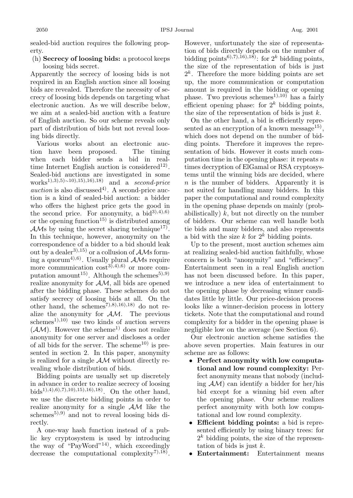sealed-bid auction requires the following property.

# (h) **Secrecy of loosing bids:** a protocol keeps loosing bids secret.

Apparently the secrecy of loosing bids is not required in an English auction since all loosing bids are revealed. Therefore the necessity of secrecy of loosing bids depends on targeting what electronic auction. As we will describe below, we aim at a sealed-bid auction with a feature of English auction. So our scheme reveals only part of distribution of bids but not reveal loosing bids directly.

Various works about an electronic auction have been proposed. The timing when each bidder sends a bid in realtime Internet English auction is considered<sup>12)</sup>. Sealed-bid auctions are investigated in some works1),3),5)∼10),15),16),18) and a *second-price*  $auction$  is also discussed<sup>4</sup>). A second-price auction is a kind of sealed-bid auction: a bidder who offers the highest price gets the good in the second price. For anonymity, a bid<sup>3</sup><sup>3</sup>,<sup>4</sup>),<sup>6</sup> or the opening function<sup>15)</sup> is distributed among  $AMs$  by using the secret sharing technique<sup>17</sup>. In this technique, however, anonymity on the correspondence of a bidder to a bid should leak out by a dealer<sup>3),15</sup> or a collusion of  $\mathcal{AM}s$  forming a quorum<sup>4),6)</sup>. Usually plural  $\mathcal{AM}s$  require more communication  $\cos t^{3}$ , 4), 6) or more computation amount<sup>15)</sup>. Although the schemes<sup>5),9)</sup> realize anonymity for AM, all bids are opened after the bidding phase. These schemes do not satisfy secrecy of loosing bids at all. On the other hand, the schemes<sup>7</sup>,8),16),18) do not realize the anonymity for AM. The previous schemes<sup>1),10)</sup> use two kinds of auction servers  $(\mathcal{AM})$ . However the scheme<sup>1)</sup> does not realize anonymity for one server and discloses a order of all bids for the server. The scheme<sup>10)</sup> is presented in section 2. In this paper, anonymity is realized for a single  $AM$  without directly revealing whole distribution of bids.

Bidding points are usually set up discretely in advance in order to realize secrecy of loosing bids<sup>1</sup>),<sup>4</sup>),6),7),10),15),16),18). On the other hand, we use the discrete bidding points in order to realize anonymity for a single  $AM$  like the schemes<sup>5),9)</sup> and not to reveal loosing bids directly.

A one-way hash function instead of a public key cryptosystem is used by introducing the way of "PayWord"<sup>14)</sup>, which exceedingly decrease the computational complexity<sup>7),18)</sup>.

However, unfortunately the size of representation of bids directly depends on the number of bidding points<sup>6),7),16),18</sup>): for  $2^k$  bidding points, the size of the representation of bids is just  $2^k$ . Therefore the more bidding points are set up, the more communication or computation amount is required in the bidding or opening phase. Two previous schemes<sup>1),10)</sup> has a fairly efficient opening phase: for  $2^k$  bidding points, the size of the representation of bids is just  $k$ .

On the other hand, a bid is efficiently represented as an encryption of a known message<sup>15)</sup>, which does not depend on the number of bidding points. Therefore it improves the representation of bids. However it costs much computation time in the opening phase: it repeats  $n$ times decryption of ElGamal or RSA cryptosystems until the winning bids are decided, where n is the number of bidders. Apparently it is not suited for handling many bidders. In this paper the computational and round complexity in the opening phase depends on mainly (probabilistically)  $k$ , but not directly on the number of bidders. Our scheme can well handle both tie bids and many bidders, and also represents a bid with the size k for  $2^k$  bidding points.

Up to the present, most auction schemes aim at realizing sealed-bid auction faithfully, whose concern is both "anonymity" and "efficiency". Entertainment seen in a real English auction has not been discussed before. In this paper, we introduce a new idea of entertainment to the opening phase by decreasing winner candidates little by little. Our price-decision process looks like a winner-decision process in lottery tickets. Note that the computational and round complexity for a bidder in the openingphase is negligible low on the average (see Section 6).

Our electronic auction scheme satisfies the above seven properties. Main features in our scheme are as follows:

- **Perfect anonymity with low computational and low round complexity:** Perfect anonymity means that nobody (including  $AM$ ) can identify a bidder for her/his bid except for a winning bid even after the opening phase. Our scheme realizes perfect anonymity with both low computational and low round complexity.
- **Efficient bidding points:** a bid is represented efficiently by using binary trees: for  $2<sup>k</sup>$  bidding points, the size of the representation of bids is just  $k$ .
- **Entertainment:** Entertainment means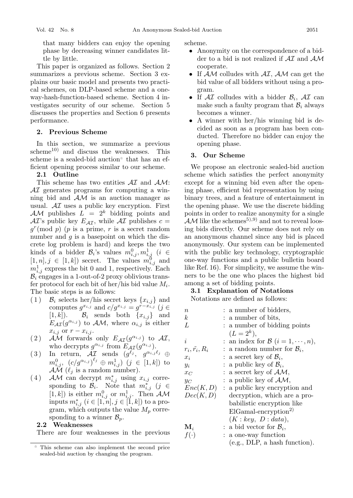that many bidders can enjoy the opening phase by decreasingwinner candidates little by little.

This paper is organized as follows. Section 2 summarizes a previous scheme. Section 3 explains our basic model and presents two practical schemes, on DLP-based scheme and a oneway-hash-function-based scheme. Section 4 investigates security of our scheme. Section 5 discusses the properties and Section 6 presents performance.

# **2. Previous Scheme**

In this section, we summarize a previous  $scheme<sup>10</sup>$  and discuss the weaknesses. This scheme is a sealed-bid auction that has an efficient opening process similar to our scheme.

## **2.1 Outline**

This scheme has two entities  $\mathcal{A}I$  and  $\mathcal{A}\mathcal{M}$ :  $\mathcal{A}I$  generates programs for computing a winning bid and  $AM$  is an auction manager as usual.  $\mathcal{A}I$  uses a public key encryption. First AM publishes  $L = 2^k$  bidding points and  $AT$ 's public key  $E_{\mathcal{A}I}$ , while  $AT$  publishes  $c =$  $g^r \pmod{p}$  (p is a prime, r is a secret random number and  $q$  is a basepoint on which the discrete log problem is hard) and keeps the two kinds of a bidder  $\mathcal{B}_i$ 's values  $m_{i,j}^0, m_{i,j}^1$  ( $i \in [1, n], j \in [1, k]$ ) secret. The values  $m_{i,j}^0$  and  $m_{i,j}^1$  are proposition in  $\mathbb{R}$  $m_{i,j}^1$  express the bit 0 and 1, respectively. Each  $\mathcal{B}_{i}$  engages in a 1-out-of-2 proxy oblivious trans- $B_i$  engages in a 1-out-of-2 proxy oblivious transfer protocol for each bit of her/his bid value  $M_i$ . The basic steps is as follows:

- (1)  $\mathcal{B}_i$  selects her/his secret keys  $\{x_{i,j}\}\$ and computes  $g^{x_{i,j}}$  and  $c/g^{x_{i,j}} = g^{r-x_{i,j}}$  (j ∈  $[1, k]$ ).  $\mathcal{B}_i$  sends both  $\{x_{i,j}\}\$ and  $E_{\mathcal{AI}}(g^{\alpha_{i,j}})$  to  $\mathcal{AM}$ , where  $\alpha_{i,j}$  is either  $x_{i,j}$  or  $r - x_{i,j}$ .
- (2) AM forwards only  $E_{\mathcal{AI}}(g^{\alpha_{i,j}})$  to  $\mathcal{AI},$ who decrypts  $g^{\alpha_{i,j}}$  from  $E_{\mathcal{AI}}(g^{\alpha_{i,j}})$ .
- $(3)$  In return,  $\overline{\mathcal{AI}}$  sends  $(g^{\ell_j}, g^{\alpha_{i,j}\ell_j} \oplus$  $m_{i,j}^0$ ,  $(c/g^{\alpha_{i,j}})^{\ell_j} \oplus m_{i,j}^1$ )  $(j \in [1, k])$  to  $A \setminus \ell_i$  is a random number)  $AM$  ( $\ell_j$  is a random number).
- (4) AM can decrypt  $m_{i,j}^*$  using  $x_{i,j}$  corresponding to  $\mathcal{B}$ . Note that  $m^*$ ,  $(i \in \mathcal{A})$ sponding to  $\mathcal{B}_i$ . Note that  $m^*_{i,j}$  (j  $\in$ sponding to  $\mathcal{B}_i$ . Note that  $m_{i,j}^*$  ( $j \in [1, k]$ ) is either  $m_{i,j}^0$  or  $m_{i,j}^1$ . Then  $\mathcal{AM}$ <br>inputs  $m_{i,j}^*$  ( $i \in [1, n]$ ,  $j \in [1, k]$ ) to a pro-<br>gram which outputs the value M corregram, which outputs the value  $M_p$  corresponding to a winner  $\mathcal{B}_p$ .

#### **2.2 Weaknesses**

There are four weaknesses in the previous

scheme.

- Anonymity on the correspondence of a bidder to a bid is not realized if  $\mathcal{A}I$  and  $\mathcal{A}\mathcal{M}$ cooperate.
- If  $AM$  colludes with  $AI$ ,  $AM$  can get the bid value of all bidders without usinga program.
- If  $\mathcal{A}I$  colludes with a bidder  $\mathcal{B}_i$ ,  $\mathcal{A}I$  can make such a faulty program that  $\mathcal{B}_i$  always becomes a winner.
- A winner with her/his winning bid is decided as soon as a program has been conducted. Therefore no bidder can enjoy the opening phase.

## **3. Our Scheme**

We propose an electronic sealed-bid auction scheme which satisfies the perfect anonymity except for a winning bid even after the opening phase, efficient bid representation by using binary trees, and a feature of entertainment in the opening phase. We use the discrete bidding points in order to realize anonymity for a single  $AM$  like the schemes<sup>5),9)</sup> and not to reveal loosingbids directly. Our scheme does not rely on an anonymous channel since any bid is placed anonymously. Our system can be implemented with the public key technology, cryptographic one-way functions and a public bulletin board like Ref. 16). For simplicity, we assume the winners to be the one who places the highest bid among a set of bidding points.

# **3.1 Explanation of Notations**

Notations are defined as follows:

n : a number of bidders,  $k$  : a number of bits,  $L$  : a number of bidding points  $(L = 2^k),$ i : an index for  $\mathcal{B}$   $(i = 1, \dots, n),$  $r_i, \tilde{r_i}, R_i$  : a random number for  $\mathcal{B}_i$ ,<br>  $x_i$  : a secret key of  $\mathcal{B}_i$ ,  $x_i$  : a secret key of  $\mathcal{B}_i$ ,<br>  $y_i$  : a public key of  $\mathcal{B}_i$ ,  $y_i$  : a public key of  $\mathcal{B}_i$ ,<br>  $x_C$  : a secret key of  $\mathcal{A}\Lambda$  $x_C$  : a secret key of  $AM$ ,<br> $y_C$  : a public key of  $AM$ .  $y_C$  : a public key of  $\mathcal{AM}$ ,<br> $Enc(K, D)$  : a public key encryptic : a public key encryption and  $Dec(K, D)$  decryption, which are a probabilistic encryption like ElGamal-encryption2)  $(K:key, D: data),$ **M**<sub>i</sub> : a bid vector for  $\mathcal{B}_i$ ,<br> $f(\cdot)$  : a one-way function : a one-way function (e.g., DLP, a hash function).

This scheme can also implement the second price sealed-bid auction by changing the program.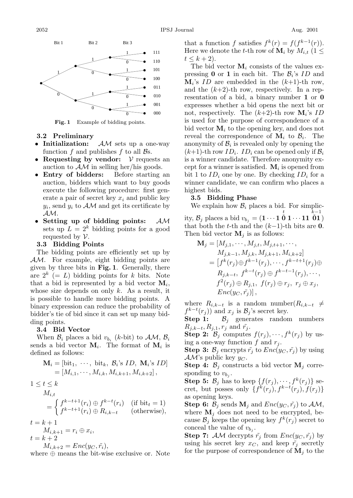

**Fig. 1** Example of bidding points.

## **3.2 Preliminary**

- **Initialization:** AM sets up a one-way function f and publishes f to all  $\mathcal{B}s$ .
- **Requesting by vendor:** V requests an auction to  $AM$  in selling her/his goods.
- **Entry of bidders:** Before starting an auction, bidders which want to buy goods execute the following procedure: first generate a pair of secret key  $x_i$  and public key  $y_i$ , send  $y_i$  to  $\mathcal{AM}$  and get its certificate by AM.
- **Setting up of bidding points:** AM sets up  $L = 2^k$  bidding points for a good requested by  $\mathcal V$ .

#### **3.3 Bidding Points**

The bidding points are efficiently set up by AM. For example, eight bidding points are given by three bits in **Fig. 1**. Generally, there are  $2^k$  (= L) bidding points for k bits. Note that a bid is represented by a bid vector  $M_i$ , whose size depends on only  $k$ . As a result, it is possible to handle more bidding points. A binary expression can reduce the probability of bidder's tie of bid since it can set up many bidding points.

#### **3.4 Bid Vector**

When  $\mathcal{B}_i$  places a bid  $v_{b_i}$  (k-bit) to  $\mathcal{AM}, \mathcal{B}_i$ sends a bid vector  $M_i$ . The format of  $M_i$  is defined as follows:

$$
\mathbf{M}_{i} = [\text{bit}_{1}, \cdots, \text{ bit}_{k}, \mathcal{B}_{i} \text{'s } ID, \mathbf{M}_{i} \text{'s } ID]
$$

$$
= [M_{i,1}, \cdots, M_{i,k}, M_{i,k+1}, M_{i,k+2}],
$$

$$
1 \le t \le k
$$

$$
M_{i,t}
$$

$$
(sk-t+1) \oplus sk-t(n) \quad (if k+1) \ne t \ne t(n+1)
$$

$$
= \begin{cases} f^{k-t+1}(r_i) \oplus f^{k-t}(r_i) & \text{(if bit}_t = 1) \\ f^{k-t+1}(r_i) \oplus R_{i,k-t} & \text{(otherwise)}, \end{cases}
$$

$$
t = k + 1
$$
  
\n
$$
M_{i,k+1} = r_i \oplus x_i,
$$
  
\n
$$
t = k + 2
$$

$$
M_{i,k+2} = Enc(y_C, \tilde{r_i})
$$

 $M_{i,k+2} = Enc(y_C, \tilde{r}_i),$ <br>where  $\oplus$  means the bit-wise exclusive or. Note

that a function f satisfies  $f^k(r) = f(f^{k-1}(r)).$ Here we denote the t-th row of  $\mathbf{M}_i$  by  $M_{i,t}$  (1  $\leq$  $t \leq k+2$ ).

The bid vector  $M_i$  consists of the values expressing **0** or **1** in each bit. The  $\mathcal{B}_i$ 's ID and  $M_i$ 's *ID* are embedded in the  $(k+1)$ -th row, and the  $(k+2)$ -th row, respectively. In a representation of a bid, a binary number **1** or **0** expresses whether a bid opens the next bit or not, respectively. The  $(k+2)$ -th row  $M_i$ 's *ID* is used for the purpose of correspondence of a bid vector  $M_i$  to the opening key, and does not reveal the correspondence of  $M_i$  to  $B_i$ . The anonymity of  $\mathcal{B}_i$  is revealed only by opening the  $(k+1)$ -th row  $ID_i$ .  $ID_i$  can be opened only if  $B_i$ is a winner candidate. Therefore anonymity except for a winner is satisfied.  $M_i$  is opened from bit 1 to  $ID_i$  one by one. By checking  $ID_i$  for a winner candidate, we can confirm who places a highest bids.

#### **3.5 Bidding Phase**

We explain how  $\mathcal{B}_i$  places a bid. For simplic- $\mathbf{c}_j^t$ ,  $\mathcal{B}_j$  places a bid  $v_{b_j} = (\mathbf{1} \cdots \mathbf{1} \stackrel{t}{\mathbf{0}} \mathbf{1} \cdots \mathbf{1} \stackrel{k-1}{\mathbf{0}})$ <br>
that both the t th and the  $(k-1)$  th bits are **0** that both the t-th and the  $(k-1)$ -th bits are **0**. Then bid vector  $M_i$  is as follows:

$$
\mathbf{M}_{j} = [M_{j,1}, \cdots, M_{j,t}, M_{j,t+1}, \cdots, M_{j,k-1}, M_{j,k+1}, M_{i,k+2}]
$$
  
=  $[f^{k}(r_{j}) \oplus f^{k-1}(r_{j}), \cdots, f^{k-t+1}(r_{j}) \oplus R_{j,k-t}, f^{k-t}(r_{j}) \oplus f^{k-t-1}(r_{j}), \cdots, f^{2}(r_{j}) \oplus R_{j,1}, f(r_{j}) \oplus r_{j}, r_{j} \oplus x_{j},$   

$$
Enc(y_C, \tilde{r}_{j})],
$$

where  $R_{i,k-t}$  is a random number( $R_{i,k-t} \neq$  $f^{k-t}(r_j)$  and  $x_j$  is  $\mathcal{B}_j$ 's secret key.

**Step 1:**  $B_j$  generates random numbers  $R_{j,k-t}, R_{j,1}, r_j \text{ and } \tilde{r_j}.$ 

**Step 2:**  $\mathcal{B}_j$  computes  $f(r_j), \dots, f^k(r_j)$  by using a one-way function  $f$  and  $r_j$ .

**Step 3:**  $\mathcal{B}_j$  encrypts  $\tilde{r}_j$  to  $Enc(y_C, \tilde{r}_j)$  by using  $AM$ 's public key  $y_C$ .

**Step 4:**  $\mathcal{B}_j$  constructs a bid vector  $\mathbf{M}_j$  corresponding to  $v_{b_i}$ .

**Step 5:**  $\mathcal{B}_j$  has to keep  $\{f(r_j), \dots, f^k(r_j)\}\$  secret, but posses only  $\{f^k(r_j), f^{k-t}(r_j), f(r_j)\}\$ as opening keys.

**Step 6:**  $\mathcal{B}_j$  sends  $\mathbf{M}_j$  and  $Enc(y_C, \tilde{r}_j)$  to  $\mathcal{AM}$ , where  $M_i$  does not need to be encrypted, because  $\mathcal{B}_j$  keeps the opening key  $f^k(r_j)$  secret to conceal the value of  $v_{b_j}$ .

**Step 7:** AM decrypts  $\tilde{r}_i$  from  $Enc(y_C, \tilde{r}_i)$  by using his secret key  $x_C$ , and keep  $\tilde{r}_i$  secretly for the purpose of correspondence of  $M_i$  to the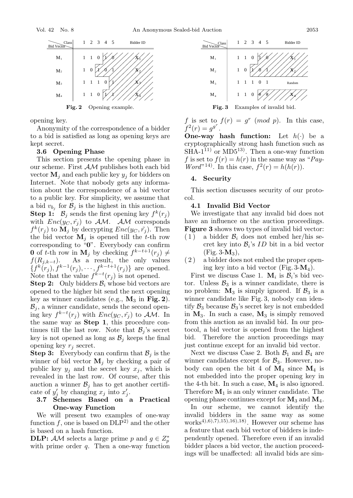

**Fig. 2** Opening example.

opening key.

Anonymity of the correspondence of a bidder to a bid is satisfied as long as opening keys are kept secret.

#### **3.6 Opening Phase**

This section presents the opening phase in our scheme. First AM publishes both each bid vector  $\mathbf{M}_i$  and each public key  $y_i$  for bidders on Internet. Note that nobody gets any information about the correspondence of a bid vector to a public key. For simplicity, we assume that a bid  $v_{b_j}$  for  $\mathcal{B}_j$  is the highest in this auction.

**Step 1:**  $\mathcal{B}_j$  sends the first opening key  $f^k(r_j)$ with  $Enc(y_C, \tilde{r}_j)$  to  $AM$ . AM corresponds  $f^{k}(r_{j})$  to  $\mathbf{M}_{j}$  by decrypting  $Enc(y_{C}, \tilde{r}_{j})$ . Then the bid vector  $M_j$  is opened till the t-th row corresponding to " $0$ ". Everybody can confirm **0** of t-th row in **M**<sub>j</sub> by checking  $f^{k-t+1}(r_j) \neq f(R_{j,k-t})$ . As a result, the only values  $f(R_{j,k-t})$ . As a result, the only values  $\{f^k(r_j), f^{k-1}(r_j), \cdots, f^{k-t+1}(r_j)\}$  are opened.<br>Note that the value  $f^{k-t}(r_j)$  is not opened. Note that the value  $f^{k-t}(r_j)$  is not opened.<br>Stop 2: Only biddees  $\mathcal{B}$ , whose hid vectors

**Step 2:** Only bidders  $\mathcal{B}_i$  whose bid vectors are opened to the higher bit send the next opening key as winner candidates (e.g.,  $M_3$  in Fig. 2).  $\mathcal{B}_j$ , a winner candidate, sends the second opening key  $f^{k-t}(r_j)$  with  $Enc(y_C, \tilde{r_j})$  to  $\mathcal{AM}$ . In the same way as **Step 1** this precedure can the same way as **Step 1**, this procedure continues till the last row. Note that  $\mathcal{B}_j$ 's secret key is not opened as long as  $\mathcal{B}_j$  keeps the final opening key  $r_j$  secret.

**Step 3:** Everybody can confirm that  $\mathcal{B}_j$  is the winner of bid vector  $M_i$  by checking a pair of public key  $y_j$  and the secret key  $x_j$ , which is revealed in the last row. Of course, after this auction a winner  $\mathcal{B}_i$  has to get another certificate of  $y'_j$  by changing  $x_j$  into  $x'_j$ .<br>3.7 Schemes Based on

# **3.7 Schemes Based on a Practical One-way Function**

We will present two examples of one-way function  $f$ , one is based on  $DLP^2$  and the other is based on a hash function.

**DLP:**  $AM$  selects a large prime p and  $g \in Z_n^*$ with prime order  $q$ . Then a one-way function



f is set to  $f(r) = g^r \pmod{p}$ . In this case,  $f^{2}(r) = g^{g^{r}}.$ 

**One-way hash function:** Let  $h(\cdot)$  be a cryptographically strong hash function such as  $SHA-1^{11}$  or  $MD5^{13}$ . Then a one-way function f is set to  $f(r) = h(r)$  in the same way as "*Pay-Word*<sup>"14)</sup>. In this case,  $f^{2}(r) = h(h(r)).$ 

#### **4. Security**

This section discusses security of our protocol.

# **4.1 Invalid Bid Vector**

We investigate that any invalid bid does not have an influence on the auction proceedings. **Figure 3** shows two types of invalid bid vector:

- $(1)$  a bidder  $\mathcal{B}_i$  does not embed her/his secret key into  $\mathcal{B}_i$ 's *ID* bit in a bid vector  $(Fig. 3-M_3),$
- ( 2 ) a bidder does not embed the proper opening key into a bid vector (Fig.  $3-M_4$ ).

First we discuss Case 1.  $M_i$  is  $B_i$ 's bid vector. Unless  $\mathcal{B}_3$  is a winner candidate, there is no problem:  $M_3$  is simply ignored. If  $\mathcal{B}_3$  is a winner candidate like Fig. 3, nobody can identify  $\mathcal{B}_3$  because  $\mathcal{B}_3$ 's secret key is not embedded in  $M_3$ . In such a case,  $M_3$  is simply removed from this auction as an invalid bid. In our protocol, a bid vector is opened from the highest bid. Therefore the auction proceedings may just continue except for an invalid bid vector.

Next we discuss Case 2. Both  $\mathcal{B}_1$  and  $\mathcal{B}_4$  are winner candidates except for  $\mathcal{B}_3$ . However, nobody can open the bit 4 of  $M_4$  since  $M_4$  is not embedded into the proper opening key in the 4-th bit. In such a case,  $M_4$  is also ignored. Therefore  $M_1$  is an only winner candidate. The opening phase continues except for  $M_3$  and  $M_4$ .

In our scheme, we cannot identify the invalid bidders in the same way as some  $works^{4},6,7,15,16,18$ . However our scheme has a feature that each bid vector of bidders is independently opened. Therefore even if an invalid bidder places a bid vector, the auction proceedings will be unaffected: all invalid bids are sim-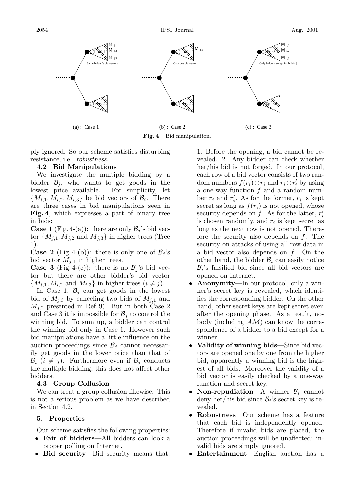

**Fig. 4** Bid manipulation.

ply ignored. So our scheme satisfies disturbing resistance, i.e., *robustness*.

# **4.2 Bid Manipulations**

We investigate the multiple bidding by a bidder  $\mathcal{B}_j$ , who wants to get goods in the lowest price available. For simplicity, let lowest price available.  ${M_{i,1}, M_{i,2}, M_{i,3}}$  be bid vectors of  $B_i$ . There are three cases in bid manipulations seen in **Fig. 4**, which expresses a part of binary tree in bids:

**Case 1** (Fig. 4-(a)): there are only  $\mathcal{B}_j$ 's bid vector  $\{M_{j,1}, M_{j,2} \text{ and } M_{j,3}\}\$  in higher trees (Tree 1).

**Case 2** (Fig. 4-(b)): there is only one of  $\mathcal{B}_i$ 's bid vector  $M_{j,1}$  in higher trees.

**Case 3** (Fig. 4-(c)): there is no  $\mathcal{B}_j$ 's bid vector but there are other bidder's bid vector  ${M_{i,1}, M_{i,2} \text{ and } M_{i,3}}$  in higher trees  $(i \neq j)$ .

In Case 1,  $\mathcal{B}_j$  can get goods in the lowest bid of  $M_{j,3}$  by canceling two bids of  $M_{j,1}$  and  $M_{i,2}$  presented in Ref. 9). But in both Case 2 and Case 3 it is impossible for  $\mathcal{B}_i$  to control the winning bid. To sum up, a bidder can control the winning bid only in Case 1. However such bid manipulations have a little influence on the auction proceedings since  $\mathcal{B}_j$  cannot necessarily get goods in the lower price than that of  $\mathcal{B}_i$   $(i \neq j)$ . Furthermore even if  $\mathcal{B}_j$  conducts the multiple bidding, this does not affect other bidders.

#### **4.3 Group Collusion**

We can treat a group collusion likewise. This is not a serious problem as we have described in Section 4.2.

# **5. Properties**

Our scheme satisfies the following properties:

- **Fair of bidders**—All bidders can look a proper polling on Internet.
- **Bid security**—Bid security means that:

1. Before the opening, a bid cannot be revealed. 2. Any bidder can check whether her/his bid is not forged. In our protocol, each row of a bid vector consists of two random numbers  $f(r_i) \oplus r_i$  and  $r_i \oplus r'_i$  by using<br>a one-way function f and a random numa one-way function  $f$  and a random number  $r_i$  and  $r'_i$ . As for the former,  $r_i$  is kept<br>secret as long as  $f(r_i)$  is not opened, whose secret as long as  $f(r_i)$  is not opened, whose security depends on f. As for the latter,  $r_i'$ is chosen randomly, and  $r_i$  is kept secret as<br>long as the port row is not enough. There long as the next row is not opened. Therefore the security also depends on  $f$ . The security on attacks of usingall row data in a bid vector also depends on  $f$ . On the other hand, the bidder  $B_i$  can easily notice  $B_i$ 's falsified bid since all bid vectors are opened on Internet.

- **Anonymity**—In our protocol, only a winner's secret key is revealed, which identifies the corresponding bidder. On the other hand, other secret keys are kept secret even after the opening phase. As a result, nobody (including  $AM$ ) can know the correspondence of a bidder to a bid except for a winner.
- **Validity of winning bids**—Since bid vectors are opened one by one from the higher bid, apparently a winning bid is the highest of all bids. Moreover the validity of a bid vector is easily checked by a one-way function and secret key.
- **Non-repudiation**—A winner  $B_i$  cannot deny her/his bid since  $\mathcal{B}_i$ 's secret key is revealed.
- **Robustness**—Our scheme has a feature that each bid is independently opened. Therefore if invalid bids are placed, the auction proceedings will be unaffected: invalid bids are simply ignored.
- **Entertainment**—English auction has a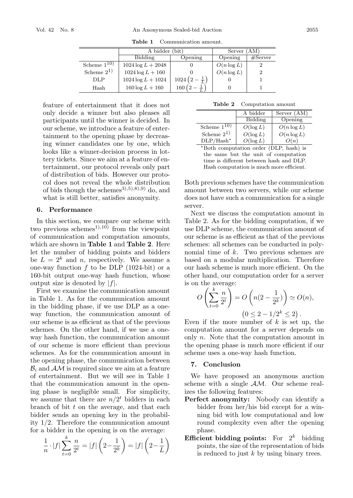**Table 1** Communication amount.

|                 | A bidder             |                       | Server        |         |
|-----------------|----------------------|-----------------------|---------------|---------|
|                 | Bidding              | Opening               | Opening       | #Server |
| Scheme $1^{10}$ | $1024 \log L + 2048$ |                       | $O(n \log L)$ |         |
| Scheme $2^{1}$  | $1024 \log L + 160$  |                       | $O(n \log L)$ |         |
| DLP.            | $1024 \log L + 1024$ | $1024(2-\frac{1}{7})$ |               |         |
| Hash            | $160 \log L + 160$   | 160                   |               |         |

feature of entertainment that it does not only decide a winner but also pleases all participants until the winner is decided. In our scheme, we introduce a feature of entertainment to the opening phase by decreasing winner candidates one by one, which looks like a winner-decision process in lottery tickets. Since we aim at a feature of entertainment, our protocol reveals only part of distribution of bids. However our protocol does not reveal the whole distribution of bids though the schemes<sup>3 $(5,5)$ , $(8)$ , $(9)$  do, and</sup> what is still better, satisfies anonymity.

#### **6. Performance**

In this section, we compare our scheme with two previous schemes<sup>1),10</sup> from the viewpoint of communication and computation amounts, which are shown in **Table 1** and **Table 2**. Here let the number of bidding points and bidders be  $L = 2^k$  and n, respectively. We assume a one-way function  $f$  to be DLP (1024-bit) or a 160-bit output one-way hash function, whose output size is denoted by  $|f|$ .

First we examine the communication amount in Table 1. As for the communication amount in the bidding phase, if we use DLP as a oneway function, the communication amount of our scheme is as efficient as that of the previous schemes. On the other hand, if we use a oneway hash function, the communication amount of our scheme is more efficient than previous schemes. As for the communication amount in the opening phase, the communication between  $\mathcal{B}_i$  and  $\mathcal{A}$  is required since we aim at a feature of entertainment. But we will see in Table 1 that the communication amount in the opening phase is negligible small. For simplicity, we assume that there are  $n/2<sup>t</sup>$  bidders in each branch of bit  $t$  on the average, and that each bidder sends an opening key in the probability 1/2. Therefore the communication amount for a bidder in the opening is on the average:

$$
\frac{1}{n} \cdot |f| \sum_{t=0}^{k} \frac{n}{2^t} = |f| \left( 2 - \frac{1}{2^k} \right) = |f| \left( 2 - \frac{1}{L} \right)
$$

**Table 2** Computation amount

|                 | A bidder    | Server (AM)   |
|-----------------|-------------|---------------|
|                 | Bidding     | Opening       |
| Scheme $1^{10}$ | $O(\log L)$ | $O(n \log L)$ |
| Scheme $2^{1}$  | $O(\log L)$ | $O(n \log L)$ |
| $DLP/Hash^*$    | $O(\log L)$ | O(n)          |

∗Both computation order (DLP, hash) is the same but the unit of computation time is different between hash and DLP. Hash computation is much more efficient.

Both previous schemes have the communication amount between two servers, while our scheme does not have such a communication for a single server.

Next we discuss the computation amount in Table 2. As for the bidding computation, if we use DLP scheme, the communication amount of our scheme is as efficient as that of the previous schemes: all schemes can be conducted in polynomial time of  $k$ . Two previous schemes are based on a modular multiplication. Therefore our hash scheme is much more efficient. On the other hand, our computation order for a server is on the average:

$$
O\left(\sum_{t=0}^k \frac{n}{2^t}\right) = O\left(n(2 - \frac{1}{2^k})\right) \simeq O(n),
$$
  

$$
(0 \le 2 - 1/2^k \le 2).
$$

Even if the more number of  $k$  is set up, the computation amount for a server depends on only  $n$ . Note that the computation amount in the opening phase is much more efficient if our scheme uses a one-way hash function.

#### **7. Conclusion**

We have proposed an anonymous auction scheme with a single AM. Our scheme realizes the following features:

- **Perfect anonymity:** Nobody can identify a bidder from her/his bid except for a winningbid with low computational and low round complexity even after the opening phase.
- **Efficient bidding points:** For  $2^k$  bidding points, the size of the representation of bids is reduced to just  $k$  by using binary trees.